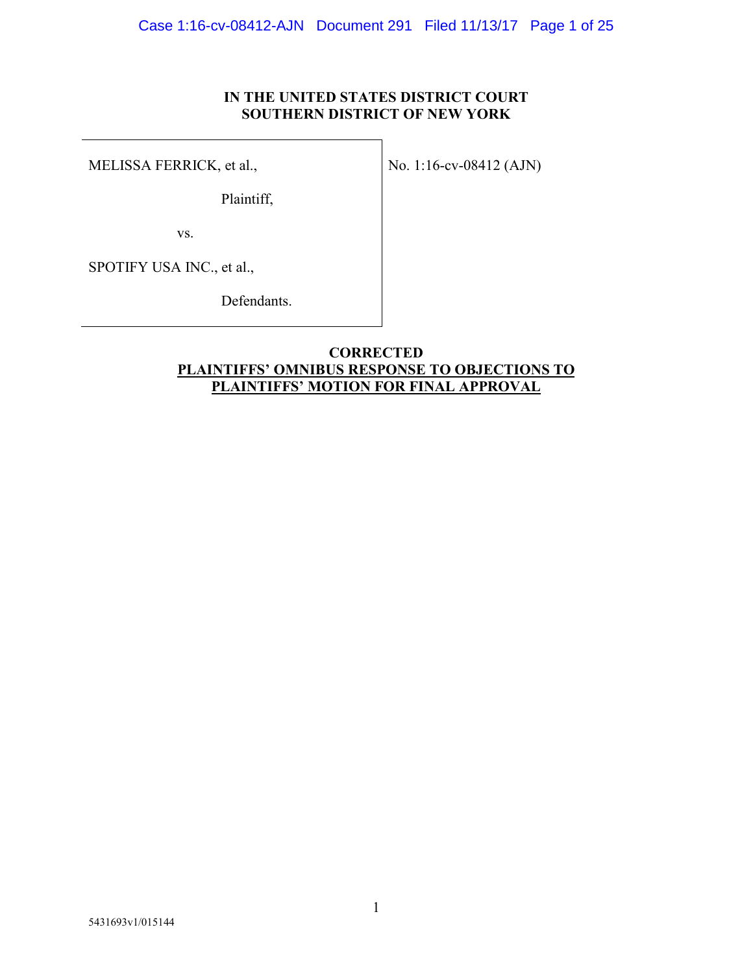## **IN THE UNITED STATES DISTRICT COURT SOUTHERN DISTRICT OF NEW YORK**

MELISSA FERRICK, et al.,

No. 1:16-cv-08412 (AJN)

Plaintiff,

vs.

SPOTIFY USA INC., et al.,

Defendants.

## **CORRECTED PLAINTIFFS' OMNIBUS RESPONSE TO OBJECTIONS TO PLAINTIFFS' MOTION FOR FINAL APPROVAL**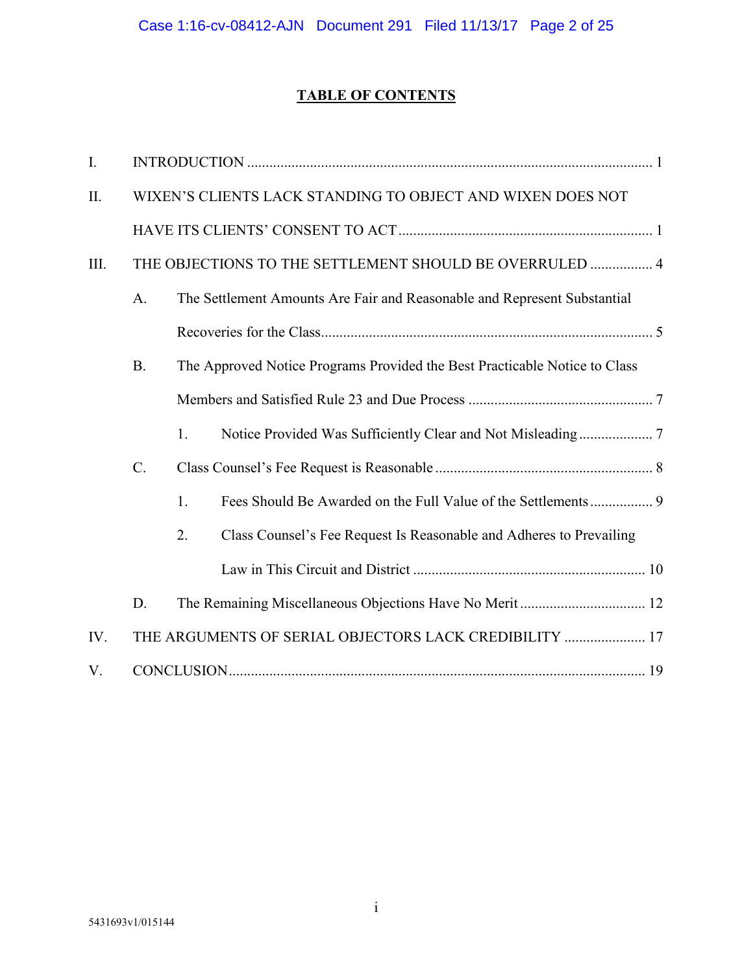## **TABLE OF CONTENTS**

| I.   |                                                         |                                                                            |  |  |  |
|------|---------------------------------------------------------|----------------------------------------------------------------------------|--|--|--|
| II.  |                                                         | WIXEN'S CLIENTS LACK STANDING TO OBJECT AND WIXEN DOES NOT                 |  |  |  |
|      |                                                         |                                                                            |  |  |  |
| III. | THE OBJECTIONS TO THE SETTLEMENT SHOULD BE OVERRULED  4 |                                                                            |  |  |  |
|      | $A_{\cdot}$                                             | The Settlement Amounts Are Fair and Reasonable and Represent Substantial   |  |  |  |
|      |                                                         |                                                                            |  |  |  |
|      | <b>B.</b>                                               | The Approved Notice Programs Provided the Best Practicable Notice to Class |  |  |  |
|      |                                                         |                                                                            |  |  |  |
|      |                                                         | 1.                                                                         |  |  |  |
|      | $C$ .                                                   |                                                                            |  |  |  |
|      |                                                         | 1.                                                                         |  |  |  |
|      |                                                         | 2.<br>Class Counsel's Fee Request Is Reasonable and Adheres to Prevailing  |  |  |  |
|      |                                                         |                                                                            |  |  |  |
|      | D.                                                      |                                                                            |  |  |  |
| IV.  |                                                         | THE ARGUMENTS OF SERIAL OBJECTORS LACK CREDIBILITY  17                     |  |  |  |
| V.   |                                                         |                                                                            |  |  |  |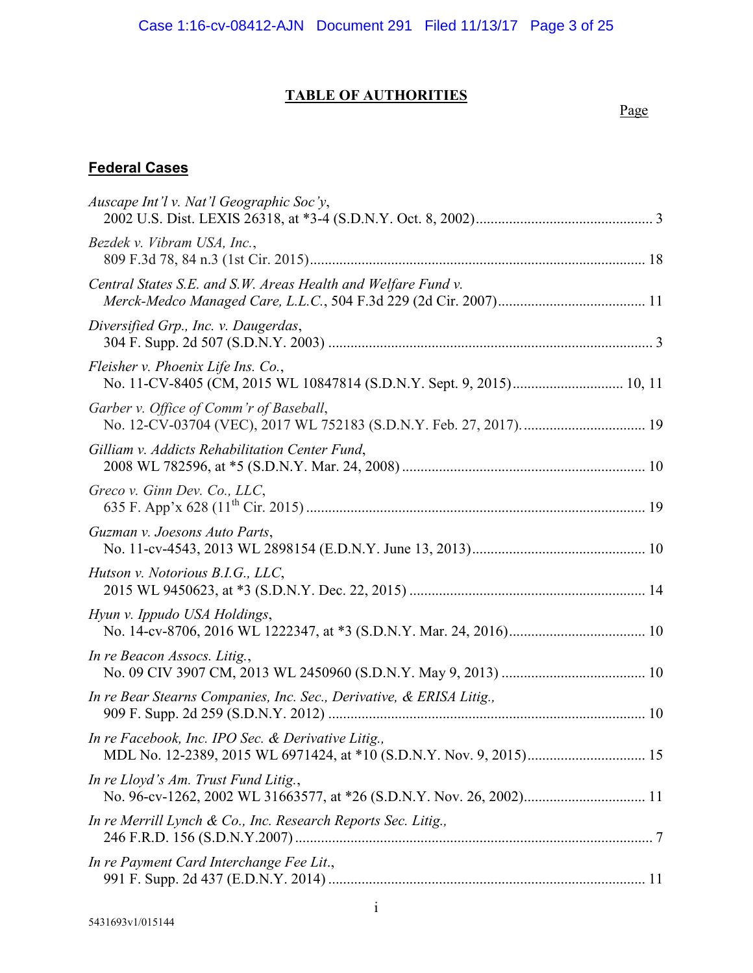## **TABLE OF AUTHORITIES**

Page

## **Federal Cases**

| Auscape Int'l v. Nat'l Geographic Soc'y,                                                                                  |  |
|---------------------------------------------------------------------------------------------------------------------------|--|
| Bezdek v. Vibram USA, Inc.,                                                                                               |  |
| Central States S.E. and S.W. Areas Health and Welfare Fund v.                                                             |  |
| Diversified Grp., Inc. v. Daugerdas,                                                                                      |  |
| Fleisher v. Phoenix Life Ins. Co.,                                                                                        |  |
| Garber v. Office of Comm'r of Baseball,                                                                                   |  |
| Gilliam v. Addicts Rehabilitation Center Fund,                                                                            |  |
| Greco v. Ginn Dev. Co., LLC,                                                                                              |  |
| Guzman v. Joesons Auto Parts,                                                                                             |  |
| Hutson v. Notorious B.I.G., LLC,                                                                                          |  |
| Hyun v. Ippudo USA Holdings,                                                                                              |  |
| In re Beacon Assocs. Litig.,                                                                                              |  |
| In re Bear Stearns Companies, Inc. Sec., Derivative, & ERISA Litig.,                                                      |  |
| In re Facebook, Inc. IPO Sec. & Derivative Litig.,<br>MDL No. 12-2389, 2015 WL 6971424, at *10 (S.D.N.Y. Nov. 9, 2015) 15 |  |
| In re Lloyd's Am. Trust Fund Litig.,                                                                                      |  |
| In re Merrill Lynch & Co., Inc. Research Reports Sec. Litig.,                                                             |  |
| In re Payment Card Interchange Fee Lit.,                                                                                  |  |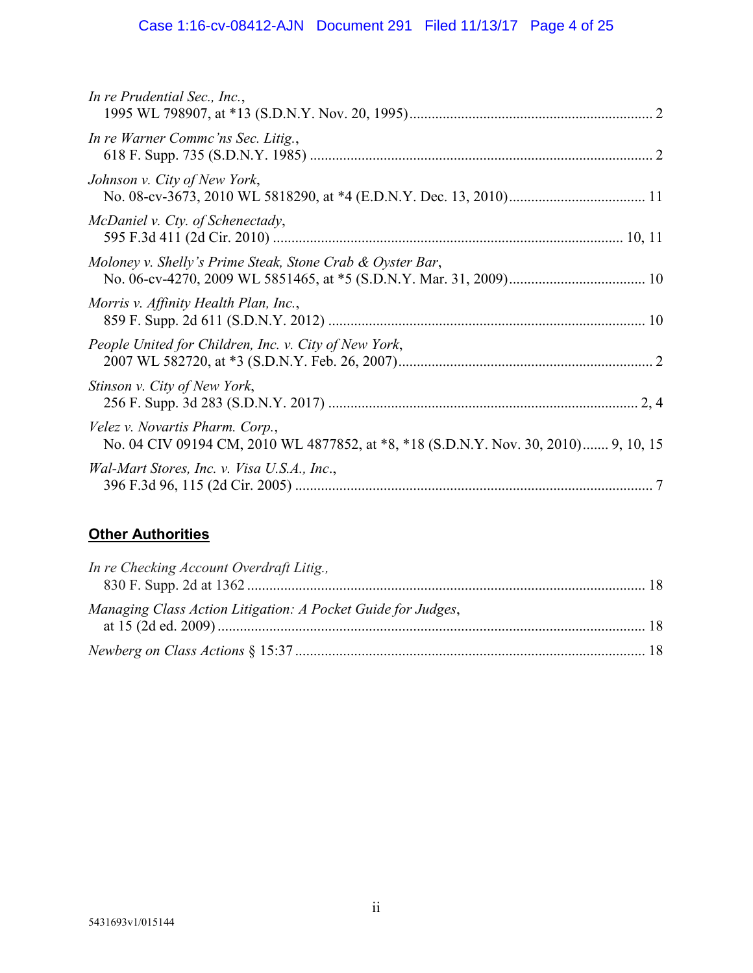## Case 1:16-cv-08412-AJN Document 291 Filed 11/13/17 Page 4 of 25

| In re Prudential Sec., Inc.,                                                                                           |  |
|------------------------------------------------------------------------------------------------------------------------|--|
| In re Warner Commc'ns Sec. Litig.,                                                                                     |  |
| Johnson v. City of New York,                                                                                           |  |
| McDaniel v. Cty. of Schenectady,                                                                                       |  |
| Moloney v. Shelly's Prime Steak, Stone Crab & Oyster Bar,                                                              |  |
| Morris v. Affinity Health Plan, Inc.,                                                                                  |  |
| People United for Children, Inc. v. City of New York,                                                                  |  |
| Stinson v. City of New York,                                                                                           |  |
| Velez v. Novartis Pharm. Corp.,<br>No. 04 CIV 09194 CM, 2010 WL 4877852, at *8, *18 (S.D.N.Y. Nov. 30, 2010) 9, 10, 15 |  |
| Wal-Mart Stores, Inc. v. Visa U.S.A., Inc.,                                                                            |  |

## **Other Authorities**

| In re Checking Account Overdraft Litig.,                     |  |
|--------------------------------------------------------------|--|
| Managing Class Action Litigation: A Pocket Guide for Judges, |  |
|                                                              |  |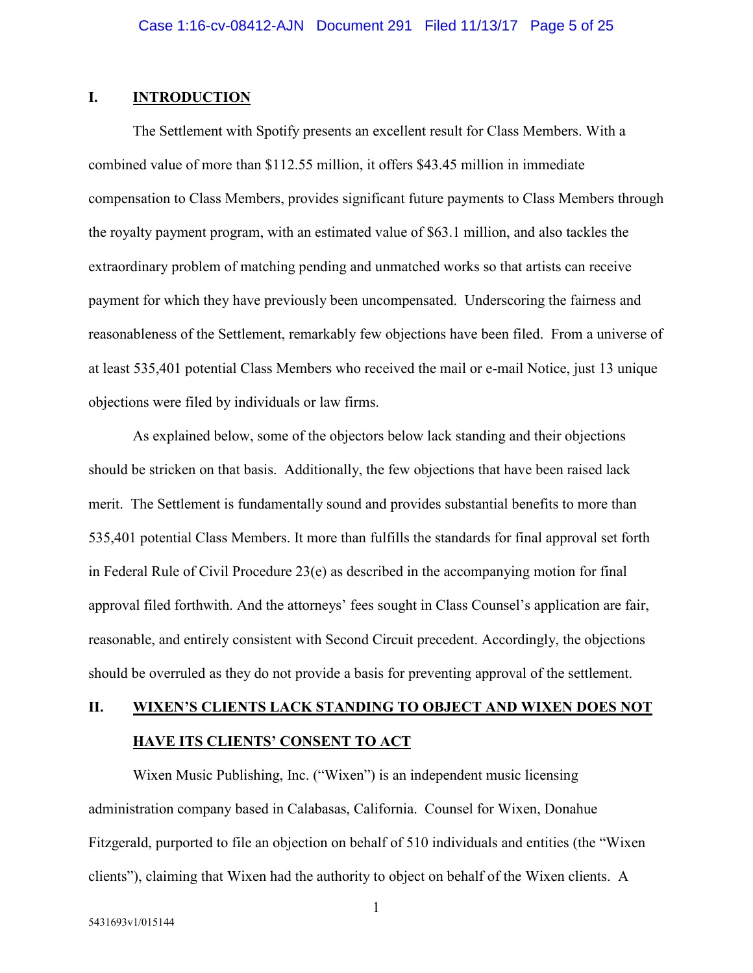## <span id="page-4-0"></span>**I. INTRODUCTION**

The Settlement with Spotify presents an excellent result for Class Members. With a combined value of more than \$112.55 million, it offers \$43.45 million in immediate compensation to Class Members, provides significant future payments to Class Members through the royalty payment program, with an estimated value of \$63.1 million, and also tackles the extraordinary problem of matching pending and unmatched works so that artists can receive payment for which they have previously been uncompensated. Underscoring the fairness and reasonableness of the Settlement, remarkably few objections have been filed. From a universe of at least 535,401 potential Class Members who received the mail or e-mail Notice, just 13 unique objections were filed by individuals or law firms.

As explained below, some of the objectors below lack standing and their objections should be stricken on that basis. Additionally, the few objections that have been raised lack merit. The Settlement is fundamentally sound and provides substantial benefits to more than 535,401 potential Class Members. It more than fulfills the standards for final approval set forth in Federal Rule of Civil Procedure 23(e) as described in the accompanying motion for final approval filed forthwith. And the attorneys' fees sought in Class Counsel's application are fair, reasonable, and entirely consistent with Second Circuit precedent. Accordingly, the objections should be overruled as they do not provide a basis for preventing approval of the settlement.

# <span id="page-4-1"></span>**II. WIXEN'S CLIENTS LACK STANDING TO OBJECT AND WIXEN DOES NOT HAVE ITS CLIENTS' CONSENT TO ACT**

Wixen Music Publishing, Inc. ("Wixen") is an independent music licensing administration company based in Calabasas, California. Counsel for Wixen, Donahue Fitzgerald, purported to file an objection on behalf of 510 individuals and entities (the "Wixen clients"), claiming that Wixen had the authority to object on behalf of the Wixen clients. A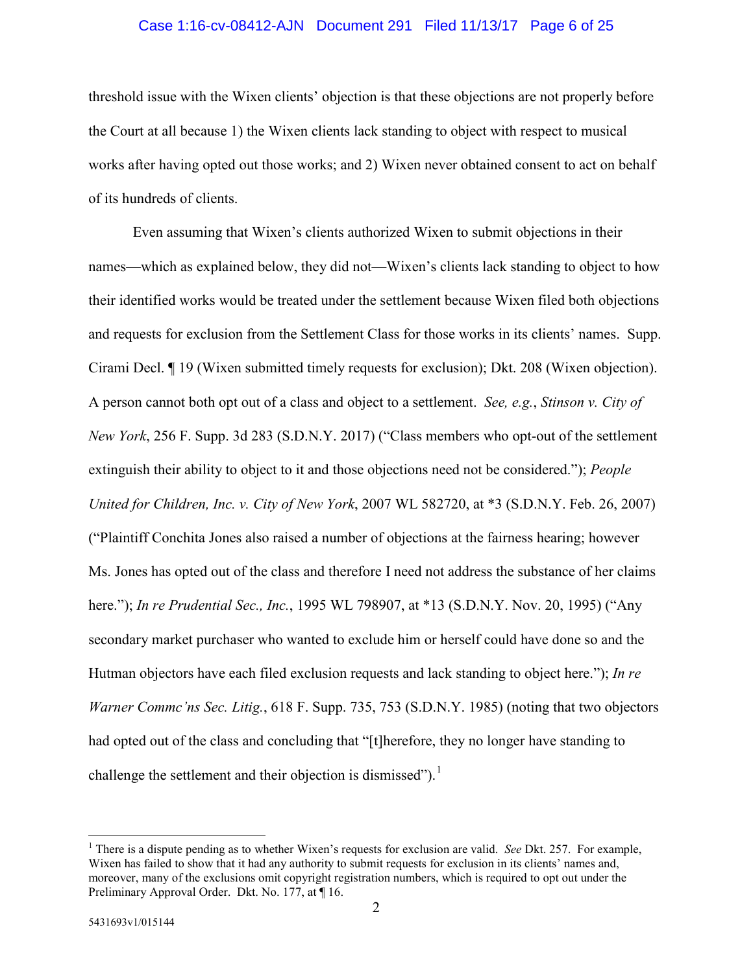## Case 1:16-cv-08412-AJN Document 291 Filed 11/13/17 Page 6 of 25

threshold issue with the Wixen clients' objection is that these objections are not properly before the Court at all because 1) the Wixen clients lack standing to object with respect to musical works after having opted out those works; and 2) Wixen never obtained consent to act on behalf of its hundreds of clients.

Even assuming that Wixen's clients authorized Wixen to submit objections in their names—which as explained below, they did not—Wixen's clients lack standing to object to how their identified works would be treated under the settlement because Wixen filed both objections and requests for exclusion from the Settlement Class for those works in its clients' names. Supp. Cirami Decl. ¶ 19 (Wixen submitted timely requests for exclusion); Dkt. 208 (Wixen objection). A person cannot both opt out of a class and object to a settlement. *See, e.g.*, *Stinson v. City of New York*, 256 F. Supp. 3d 283 (S.D.N.Y. 2017) ("Class members who opt-out of the settlement extinguish their ability to object to it and those objections need not be considered."); *People United for Children, Inc. v. City of New York*, 2007 WL 582720, at \*3 (S.D.N.Y. Feb. 26, 2007) ("Plaintiff Conchita Jones also raised a number of objections at the fairness hearing; however Ms. Jones has opted out of the class and therefore I need not address the substance of her claims here."); *In re Prudential Sec., Inc.*, 1995 WL 798907, at \*13 (S.D.N.Y. Nov. 20, 1995) ("Any secondary market purchaser who wanted to exclude him or herself could have done so and the Hutman objectors have each filed exclusion requests and lack standing to object here."); *In re Warner Commc'ns Sec. Litig.*, 618 F. Supp. 735, 753 (S.D.N.Y. 1985) (noting that two objectors had opted out of the class and concluding that "[t]herefore, they no longer have standing to challenge the settlement and their objection is dismissed"). $\frac{1}{1}$  $\frac{1}{1}$  $\frac{1}{1}$ 

<span id="page-5-0"></span><sup>1</sup> There is a dispute pending as to whether Wixen's requests for exclusion are valid. *See* Dkt. 257. For example, Wixen has failed to show that it had any authority to submit requests for exclusion in its clients' names and, moreover, many of the exclusions omit copyright registration numbers, which is required to opt out under the Preliminary Approval Order. Dkt. No. 177, at ¶ 16.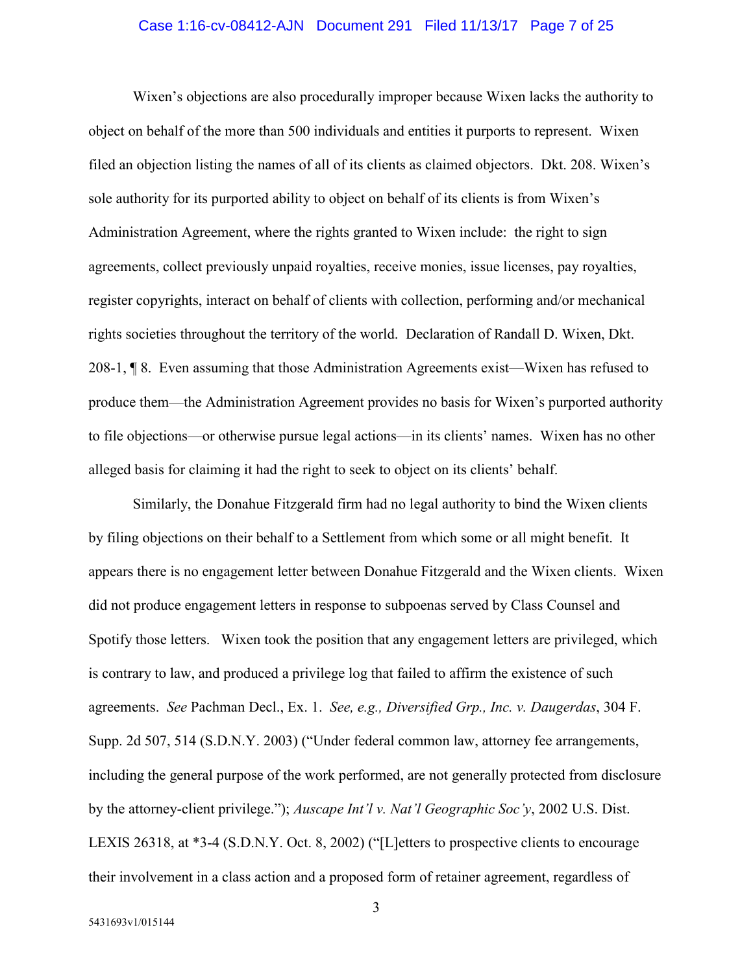## Case 1:16-cv-08412-AJN Document 291 Filed 11/13/17 Page 7 of 25

Wixen's objections are also procedurally improper because Wixen lacks the authority to object on behalf of the more than 500 individuals and entities it purports to represent. Wixen filed an objection listing the names of all of its clients as claimed objectors. Dkt. 208. Wixen's sole authority for its purported ability to object on behalf of its clients is from Wixen's Administration Agreement, where the rights granted to Wixen include: the right to sign agreements, collect previously unpaid royalties, receive monies, issue licenses, pay royalties, register copyrights, interact on behalf of clients with collection, performing and/or mechanical rights societies throughout the territory of the world. Declaration of Randall D. Wixen, Dkt. 208-1, ¶ 8. Even assuming that those Administration Agreements exist—Wixen has refused to produce them—the Administration Agreement provides no basis for Wixen's purported authority to file objections—or otherwise pursue legal actions—in its clients' names. Wixen has no other alleged basis for claiming it had the right to seek to object on its clients' behalf.

Similarly, the Donahue Fitzgerald firm had no legal authority to bind the Wixen clients by filing objections on their behalf to a Settlement from which some or all might benefit. It appears there is no engagement letter between Donahue Fitzgerald and the Wixen clients. Wixen did not produce engagement letters in response to subpoenas served by Class Counsel and Spotify those letters. Wixen took the position that any engagement letters are privileged, which is contrary to law, and produced a privilege log that failed to affirm the existence of such agreements. *See* Pachman Decl., Ex. 1. *See, e.g., Diversified Grp., Inc. v. Daugerdas*, 304 F. Supp. 2d 507, 514 (S.D.N.Y. 2003) ("Under federal common law, attorney fee arrangements, including the general purpose of the work performed, are not generally protected from disclosure by the attorney-client privilege."); *Auscape Int'l v. Nat'l Geographic Soc'y*, 2002 U.S. Dist. LEXIS 26318, at \*3-4 (S.D.N.Y. Oct. 8, 2002) ("[L]etters to prospective clients to encourage their involvement in a class action and a proposed form of retainer agreement, regardless of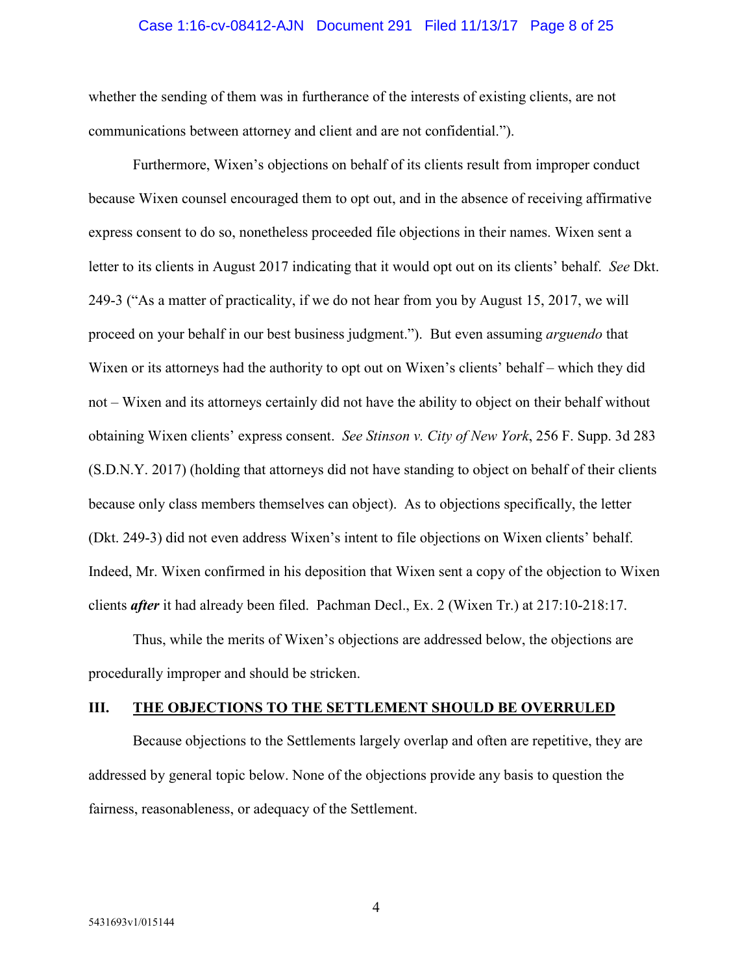### Case 1:16-cv-08412-AJN Document 291 Filed 11/13/17 Page 8 of 25

whether the sending of them was in furtherance of the interests of existing clients, are not communications between attorney and client and are not confidential.").

Furthermore, Wixen's objections on behalf of its clients result from improper conduct because Wixen counsel encouraged them to opt out, and in the absence of receiving affirmative express consent to do so, nonetheless proceeded file objections in their names. Wixen sent a letter to its clients in August 2017 indicating that it would opt out on its clients' behalf. *See* Dkt. 249-3 ("As a matter of practicality, if we do not hear from you by August 15, 2017, we will proceed on your behalf in our best business judgment."). But even assuming *arguendo* that Wixen or its attorneys had the authority to opt out on Wixen's clients' behalf – which they did not – Wixen and its attorneys certainly did not have the ability to object on their behalf without obtaining Wixen clients' express consent. *See Stinson v. City of New York*, 256 F. Supp. 3d 283 (S.D.N.Y. 2017) (holding that attorneys did not have standing to object on behalf of their clients because only class members themselves can object). As to objections specifically, the letter (Dkt. 249-3) did not even address Wixen's intent to file objections on Wixen clients' behalf. Indeed, Mr. Wixen confirmed in his deposition that Wixen sent a copy of the objection to Wixen clients *after* it had already been filed. Pachman Decl., Ex. 2 (Wixen Tr.) at 217:10-218:17.

Thus, while the merits of Wixen's objections are addressed below, the objections are procedurally improper and should be stricken.

## <span id="page-7-0"></span>**III. THE OBJECTIONS TO THE SETTLEMENT SHOULD BE OVERRULED**

Because objections to the Settlements largely overlap and often are repetitive, they are addressed by general topic below. None of the objections provide any basis to question the fairness, reasonableness, or adequacy of the Settlement.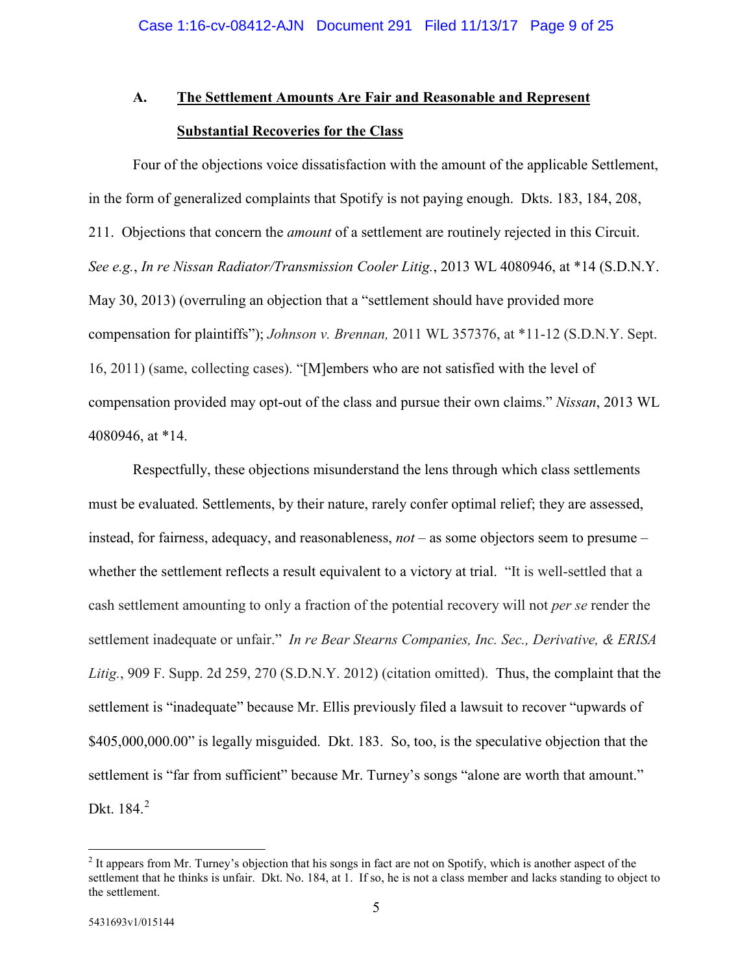# <span id="page-8-0"></span>**A. The Settlement Amounts Are Fair and Reasonable and Represent Substantial Recoveries for the Class**

Four of the objections voice dissatisfaction with the amount of the applicable Settlement, in the form of generalized complaints that Spotify is not paying enough. Dkts. 183, 184, 208, 211. Objections that concern the *amount* of a settlement are routinely rejected in this Circuit. *See e.g.*, *In re Nissan Radiator/Transmission Cooler Litig.*, 2013 WL 4080946, at \*14 (S.D.N.Y. May 30, 2013) (overruling an objection that a "settlement should have provided more compensation for plaintiffs"); *Johnson v. Brennan,* 2011 WL 357376, at \*11-12 (S.D.N.Y. Sept. 16, 2011) (same, collecting cases). "[M]embers who are not satisfied with the level of compensation provided may opt-out of the class and pursue their own claims." *Nissan*, 2013 WL 4080946, at \*14.

Respectfully, these objections misunderstand the lens through which class settlements must be evaluated. Settlements, by their nature, rarely confer optimal relief; they are assessed, instead, for fairness, adequacy, and reasonableness, *not* – as some objectors seem to presume – whether the settlement reflects a result equivalent to a victory at trial. "It is well-settled that a cash settlement amounting to only a fraction of the potential recovery will not *per se* render the settlement inadequate or unfair." *In re Bear Stearns Companies, Inc. Sec., Derivative, & ERISA Litig.*, 909 F. Supp. 2d 259, 270 (S.D.N.Y. 2012) (citation omitted). Thus, the complaint that the settlement is "inadequate" because Mr. Ellis previously filed a lawsuit to recover "upwards of \$405,000,000.00" is legally misguided. Dkt. 183. So, too, is the speculative objection that the settlement is "far from sufficient" because Mr. Turney's songs "alone are worth that amount." Dkt.  $184.<sup>2</sup>$  $184.<sup>2</sup>$  $184.<sup>2</sup>$ 

<span id="page-8-1"></span> $2$  It appears from Mr. Turney's objection that his songs in fact are not on Spotify, which is another aspect of the settlement that he thinks is unfair. Dkt. No. 184, at 1. If so, he is not a class member and lacks standing to object to the settlement.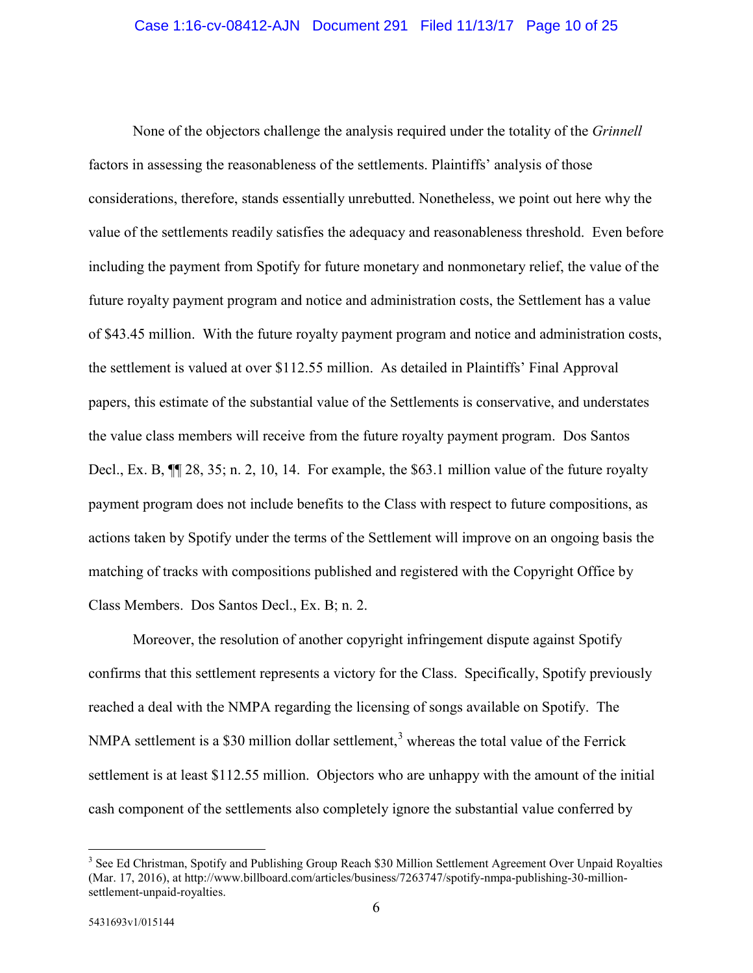None of the objectors challenge the analysis required under the totality of the *Grinnell*  factors in assessing the reasonableness of the settlements. Plaintiffs' analysis of those considerations, therefore, stands essentially unrebutted. Nonetheless, we point out here why the value of the settlements readily satisfies the adequacy and reasonableness threshold. Even before including the payment from Spotify for future monetary and nonmonetary relief, the value of the future royalty payment program and notice and administration costs, the Settlement has a value of \$43.45 million. With the future royalty payment program and notice and administration costs, the settlement is valued at over \$112.55 million. As detailed in Plaintiffs' Final Approval papers, this estimate of the substantial value of the Settlements is conservative, and understates the value class members will receive from the future royalty payment program. Dos Santos Decl., Ex. B, ¶¶ 28, 35; n. 2, 10, 14. For example, the \$63.1 million value of the future royalty payment program does not include benefits to the Class with respect to future compositions, as actions taken by Spotify under the terms of the Settlement will improve on an ongoing basis the matching of tracks with compositions published and registered with the Copyright Office by Class Members. Dos Santos Decl., Ex. B; n. 2.

Moreover, the resolution of another copyright infringement dispute against Spotify confirms that this settlement represents a victory for the Class. Specifically, Spotify previously reached a deal with the NMPA regarding the licensing of songs available on Spotify. The NMPA settlement is a \$[3](#page-9-0)0 million dollar settlement,<sup>3</sup> whereas the total value of the Ferrick settlement is at least \$112.55 million. Objectors who are unhappy with the amount of the initial cash component of the settlements also completely ignore the substantial value conferred by

<span id="page-9-0"></span><sup>&</sup>lt;sup>3</sup> See Ed Christman, Spotify and Publishing Group Reach \$30 Million Settlement Agreement Over Unpaid Royalties (Mar. 17, 2016), at http://www.billboard.com/articles/business/7263747/spotify-nmpa-publishing-30-millionsettlement-unpaid-royalties.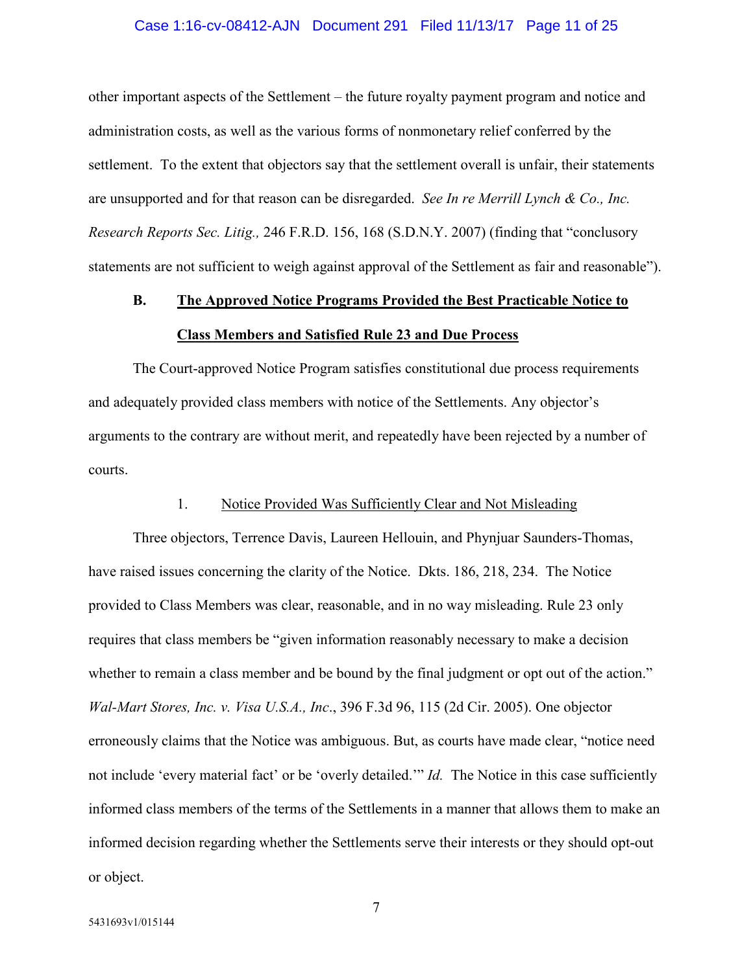#### Case 1:16-cv-08412-AJN Document 291 Filed 11/13/17 Page 11 of 25

other important aspects of the Settlement – the future royalty payment program and notice and administration costs, as well as the various forms of nonmonetary relief conferred by the settlement. To the extent that objectors say that the settlement overall is unfair, their statements are unsupported and for that reason can be disregarded. *See In re Merrill Lynch & Co., Inc. Research Reports Sec. Litig.,* 246 F.R.D. 156, 168 (S.D.N.Y. 2007) (finding that "conclusory statements are not sufficient to weigh against approval of the Settlement as fair and reasonable").

## <span id="page-10-0"></span>**B. The Approved Notice Programs Provided the Best Practicable Notice to Class Members and Satisfied Rule 23 and Due Process**

The Court-approved Notice Program satisfies constitutional due process requirements and adequately provided class members with notice of the Settlements. Any objector's arguments to the contrary are without merit, and repeatedly have been rejected by a number of courts.

## 1. Notice Provided Was Sufficiently Clear and Not Misleading

<span id="page-10-1"></span>Three objectors, Terrence Davis, Laureen Hellouin, and Phynjuar Saunders-Thomas, have raised issues concerning the clarity of the Notice. Dkts. 186, 218, 234. The Notice provided to Class Members was clear, reasonable, and in no way misleading. Rule 23 only requires that class members be "given information reasonably necessary to make a decision whether to remain a class member and be bound by the final judgment or opt out of the action." *Wal-Mart Stores, Inc. v. Visa U.S.A., Inc*., 396 F.3d 96, 115 (2d Cir. 2005). One objector erroneously claims that the Notice was ambiguous. But, as courts have made clear, "notice need not include 'every material fact' or be 'overly detailed.'" *Id.* The Notice in this case sufficiently informed class members of the terms of the Settlements in a manner that allows them to make an informed decision regarding whether the Settlements serve their interests or they should opt-out or object.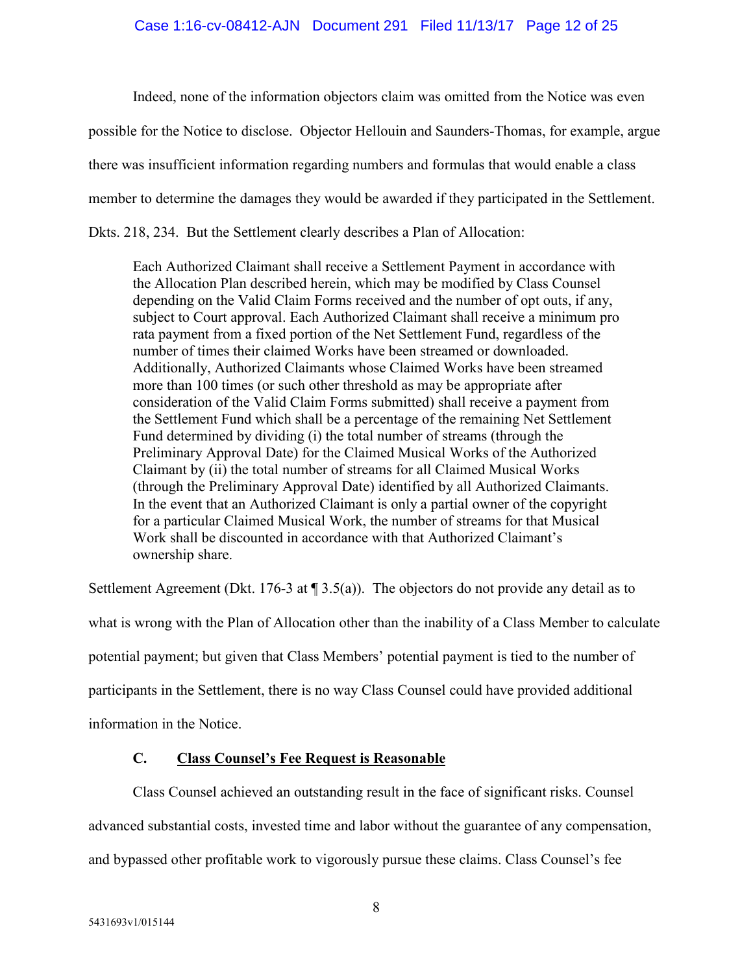## Case 1:16-cv-08412-AJN Document 291 Filed 11/13/17 Page 12 of 25

Indeed, none of the information objectors claim was omitted from the Notice was even

possible for the Notice to disclose. Objector Hellouin and Saunders-Thomas, for example, argue

there was insufficient information regarding numbers and formulas that would enable a class

member to determine the damages they would be awarded if they participated in the Settlement.

Dkts. 218, 234. But the Settlement clearly describes a Plan of Allocation:

Each Authorized Claimant shall receive a Settlement Payment in accordance with the Allocation Plan described herein, which may be modified by Class Counsel depending on the Valid Claim Forms received and the number of opt outs, if any, subject to Court approval. Each Authorized Claimant shall receive a minimum pro rata payment from a fixed portion of the Net Settlement Fund, regardless of the number of times their claimed Works have been streamed or downloaded. Additionally, Authorized Claimants whose Claimed Works have been streamed more than 100 times (or such other threshold as may be appropriate after consideration of the Valid Claim Forms submitted) shall receive a payment from the Settlement Fund which shall be a percentage of the remaining Net Settlement Fund determined by dividing (i) the total number of streams (through the Preliminary Approval Date) for the Claimed Musical Works of the Authorized Claimant by (ii) the total number of streams for all Claimed Musical Works (through the Preliminary Approval Date) identified by all Authorized Claimants. In the event that an Authorized Claimant is only a partial owner of the copyright for a particular Claimed Musical Work, the number of streams for that Musical Work shall be discounted in accordance with that Authorized Claimant's ownership share.

Settlement Agreement (Dkt. 176-3 at ¶ 3.5(a)). The objectors do not provide any detail as to what is wrong with the Plan of Allocation other than the inability of a Class Member to calculate potential payment; but given that Class Members' potential payment is tied to the number of participants in the Settlement, there is no way Class Counsel could have provided additional information in the Notice.

## **C. Class Counsel's Fee Request is Reasonable**

<span id="page-11-0"></span>Class Counsel achieved an outstanding result in the face of significant risks. Counsel advanced substantial costs, invested time and labor without the guarantee of any compensation, and bypassed other profitable work to vigorously pursue these claims. Class Counsel's fee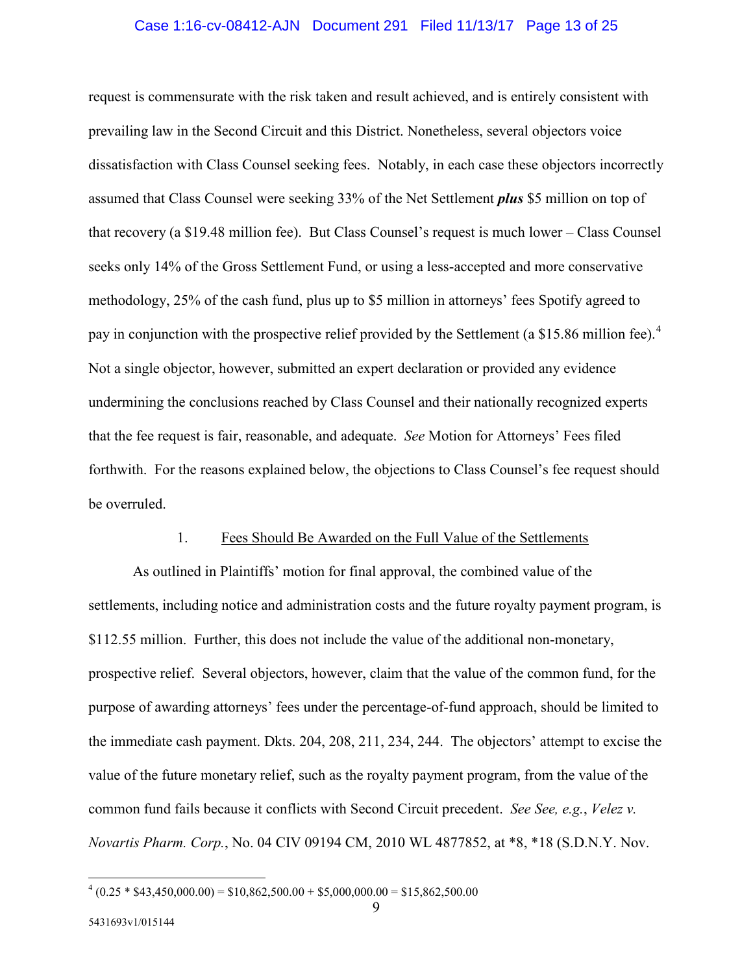## Case 1:16-cv-08412-AJN Document 291 Filed 11/13/17 Page 13 of 25

request is commensurate with the risk taken and result achieved, and is entirely consistent with prevailing law in the Second Circuit and this District. Nonetheless, several objectors voice dissatisfaction with Class Counsel seeking fees. Notably, in each case these objectors incorrectly assumed that Class Counsel were seeking 33% of the Net Settlement *plus* \$5 million on top of that recovery (a \$19.48 million fee). But Class Counsel's request is much lower – Class Counsel seeks only 14% of the Gross Settlement Fund, or using a less-accepted and more conservative methodology, 25% of the cash fund, plus up to \$5 million in attorneys' fees Spotify agreed to pay in conjunction with the prospective relief provided by the Settlement (a \$15.86 million fee).<sup>[4](#page-12-1)</sup> Not a single objector, however, submitted an expert declaration or provided any evidence undermining the conclusions reached by Class Counsel and their nationally recognized experts that the fee request is fair, reasonable, and adequate. *See* Motion for Attorneys' Fees filed forthwith. For the reasons explained below, the objections to Class Counsel's fee request should be overruled.

## 1. Fees Should Be Awarded on the Full Value of the Settlements

<span id="page-12-0"></span>As outlined in Plaintiffs' motion for final approval, the combined value of the settlements, including notice and administration costs and the future royalty payment program, is \$112.55 million. Further, this does not include the value of the additional non-monetary, prospective relief. Several objectors, however, claim that the value of the common fund, for the purpose of awarding attorneys' fees under the percentage-of-fund approach, should be limited to the immediate cash payment. Dkts. 204, 208, 211, 234, 244. The objectors' attempt to excise the value of the future monetary relief, such as the royalty payment program, from the value of the common fund fails because it conflicts with Second Circuit precedent. *See See, e.g.*, *Velez v. Novartis Pharm. Corp.*, No. 04 CIV 09194 CM, 2010 WL 4877852, at \*8, \*18 (S.D.N.Y. Nov.

<span id="page-12-1"></span> $^{4}$  (0.25 \* \$43,450,000.00) = \$10,862,500.00 + \$5,000,000.00 = \$15,862,500.00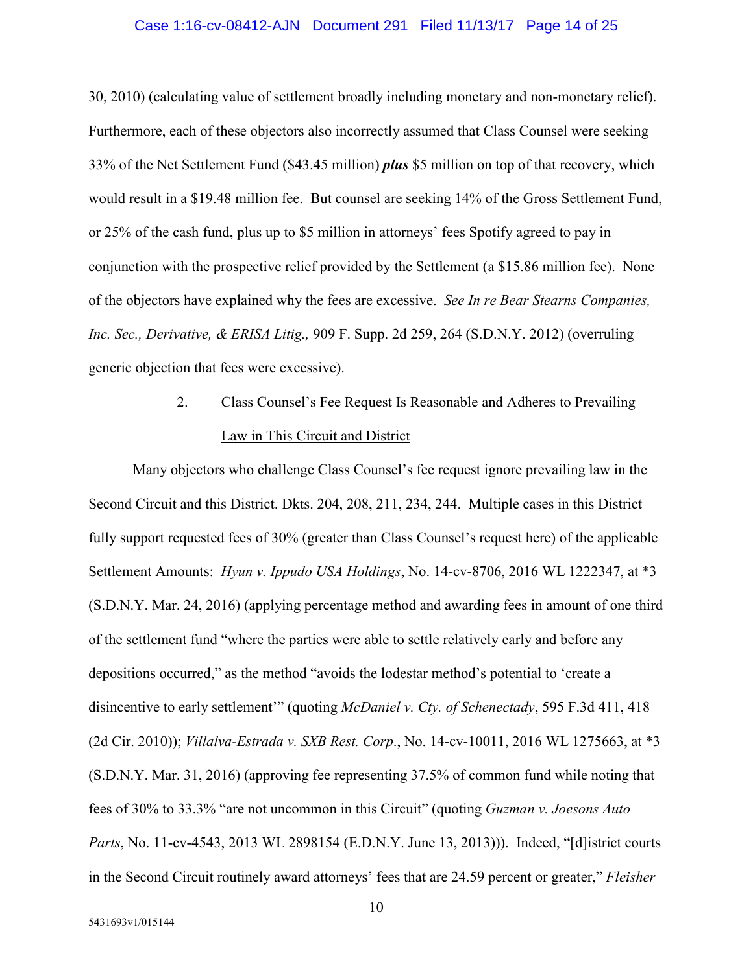#### Case 1:16-cv-08412-AJN Document 291 Filed 11/13/17 Page 14 of 25

30, 2010) (calculating value of settlement broadly including monetary and non-monetary relief). Furthermore, each of these objectors also incorrectly assumed that Class Counsel were seeking 33% of the Net Settlement Fund (\$43.45 million) *plus* \$5 million on top of that recovery, which would result in a \$19.48 million fee. But counsel are seeking 14% of the Gross Settlement Fund, or 25% of the cash fund, plus up to \$5 million in attorneys' fees Spotify agreed to pay in conjunction with the prospective relief provided by the Settlement (a \$15.86 million fee). None of the objectors have explained why the fees are excessive. *See In re Bear Stearns Companies, Inc. Sec., Derivative, & ERISA Litig.,* 909 F. Supp. 2d 259, 264 (S.D.N.Y. 2012) (overruling generic objection that fees were excessive).

# 2. Class Counsel's Fee Request Is Reasonable and Adheres to Prevailing Law in This Circuit and District

<span id="page-13-0"></span>Many objectors who challenge Class Counsel's fee request ignore prevailing law in the Second Circuit and this District. Dkts. 204, 208, 211, 234, 244. Multiple cases in this District fully support requested fees of 30% (greater than Class Counsel's request here) of the applicable Settlement Amounts: *Hyun v. Ippudo USA Holdings*, No. 14-cv-8706, 2016 WL 1222347, at \*3 (S.D.N.Y. Mar. 24, 2016) (applying percentage method and awarding fees in amount of one third of the settlement fund "where the parties were able to settle relatively early and before any depositions occurred," as the method "avoids the lodestar method's potential to 'create a disincentive to early settlement'" (quoting *McDaniel v. Cty. of Schenectady*, 595 F.3d 411, 418 (2d Cir. 2010)); *Villalva-Estrada v. SXB Rest. Corp*., No. 14-cv-10011, 2016 WL 1275663, at \*3 (S.D.N.Y. Mar. 31, 2016) (approving fee representing 37.5% of common fund while noting that fees of 30% to 33.3% "are not uncommon in this Circuit" (quoting *Guzman v. Joesons Auto Parts*, No. 11-cv-4543, 2013 WL 2898154 (E.D.N.Y. June 13, 2013))). Indeed, "[d]istrict courts in the Second Circuit routinely award attorneys' fees that are 24.59 percent or greater," *Fleisher*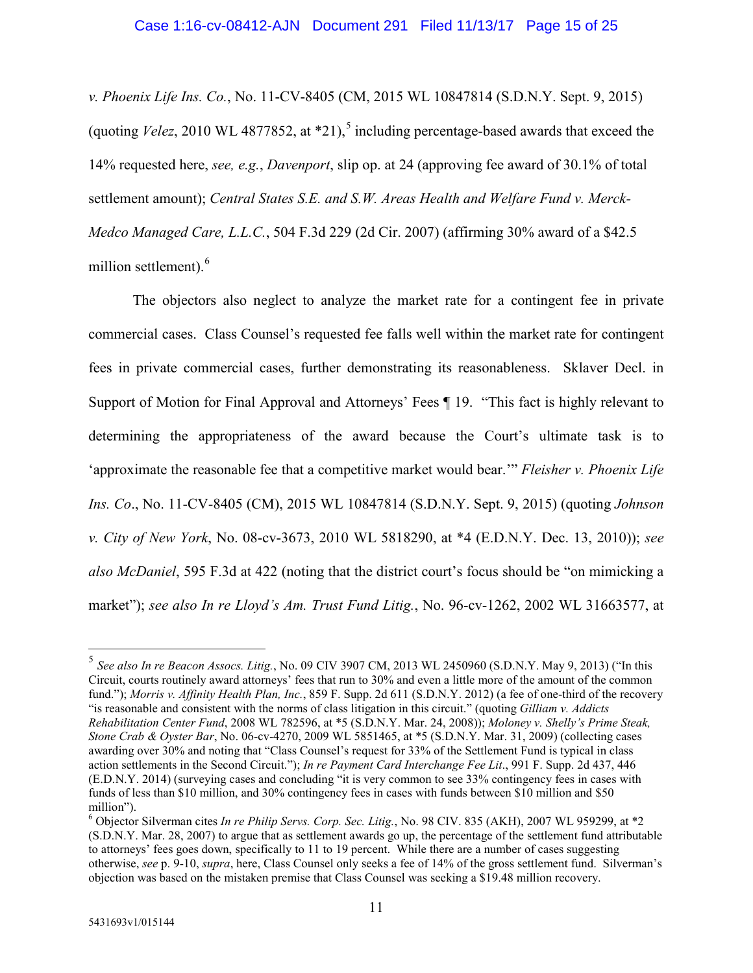*v. Phoenix Life Ins. Co.*, No. 11-CV-8405 (CM, 2015 WL 10847814 (S.D.N.Y. Sept. 9, 2015) (quoting *Velez*, 2010 WL 48778[5](#page-14-0)2, at  $*21$ ),<sup>5</sup> including percentage-based awards that exceed the 14% requested here, *see, e.g.*, *Davenport*, slip op. at 24 (approving fee award of 30.1% of total settlement amount); *Central States S.E. and S.W. Areas Health and Welfare Fund v. Merck-Medco Managed Care, L.L.C.*, 504 F.3d 229 (2d Cir. 2007) (affirming 30% award of a \$42.5 million settlement).<sup>[6](#page-14-1)</sup>

The objectors also neglect to analyze the market rate for a contingent fee in private commercial cases. Class Counsel's requested fee falls well within the market rate for contingent fees in private commercial cases, further demonstrating its reasonableness. Sklaver Decl. in Support of Motion for Final Approval and Attorneys' Fees ¶ 19. "This fact is highly relevant to determining the appropriateness of the award because the Court's ultimate task is to 'approximate the reasonable fee that a competitive market would bear.'" *Fleisher v. Phoenix Life Ins. Co*., No. 11-CV-8405 (CM), 2015 WL 10847814 (S.D.N.Y. Sept. 9, 2015) (quoting *Johnson v. City of New York*, No. 08-cv-3673, 2010 WL 5818290, at \*4 (E.D.N.Y. Dec. 13, 2010)); *see also McDaniel*, 595 F.3d at 422 (noting that the district court's focus should be "on mimicking a market"); *see also In re Lloyd's Am. Trust Fund Litig.*, No. 96-cv-1262, 2002 WL 31663577, at

<span id="page-14-0"></span><sup>5</sup> *See also In re Beacon Assocs. Litig.*, No. 09 CIV 3907 CM, 2013 WL 2450960 (S.D.N.Y. May 9, 2013) ("In this Circuit, courts routinely award attorneys' fees that run to 30% and even a little more of the amount of the common fund."); *Morris v. Affinity Health Plan, Inc.*, 859 F. Supp. 2d 611 (S.D.N.Y. 2012) (a fee of one-third of the recovery "is reasonable and consistent with the norms of class litigation in this circuit." (quoting *Gilliam v. Addicts Rehabilitation Center Fund*, 2008 WL 782596, at \*5 (S.D.N.Y. Mar. 24, 2008)); *Moloney v. Shelly's Prime Steak, Stone Crab & Oyster Bar*, No. 06-cv-4270, 2009 WL 5851465, at \*5 (S.D.N.Y. Mar. 31, 2009) (collecting cases awarding over 30% and noting that "Class Counsel's request for 33% of the Settlement Fund is typical in class action settlements in the Second Circuit."); *In re Payment Card Interchange Fee Lit*., 991 F. Supp. 2d 437, 446 (E.D.N.Y. 2014) (surveying cases and concluding "it is very common to see 33% contingency fees in cases with funds of less than \$10 million, and 30% contingency fees in cases with funds between \$10 million and \$50 million").

<span id="page-14-1"></span><sup>6</sup> Objector Silverman cites *In re Philip Servs. Corp. Sec. Litig.*, No. 98 CIV. 835 (AKH), 2007 WL 959299, at \*2 (S.D.N.Y. Mar. 28, 2007) to argue that as settlement awards go up, the percentage of the settlement fund attributable to attorneys' fees goes down, specifically to 11 to 19 percent. While there are a number of cases suggesting otherwise, *see* p. 9-10, *supra*, here, Class Counsel only seeks a fee of 14% of the gross settlement fund. Silverman's objection was based on the mistaken premise that Class Counsel was seeking a \$19.48 million recovery.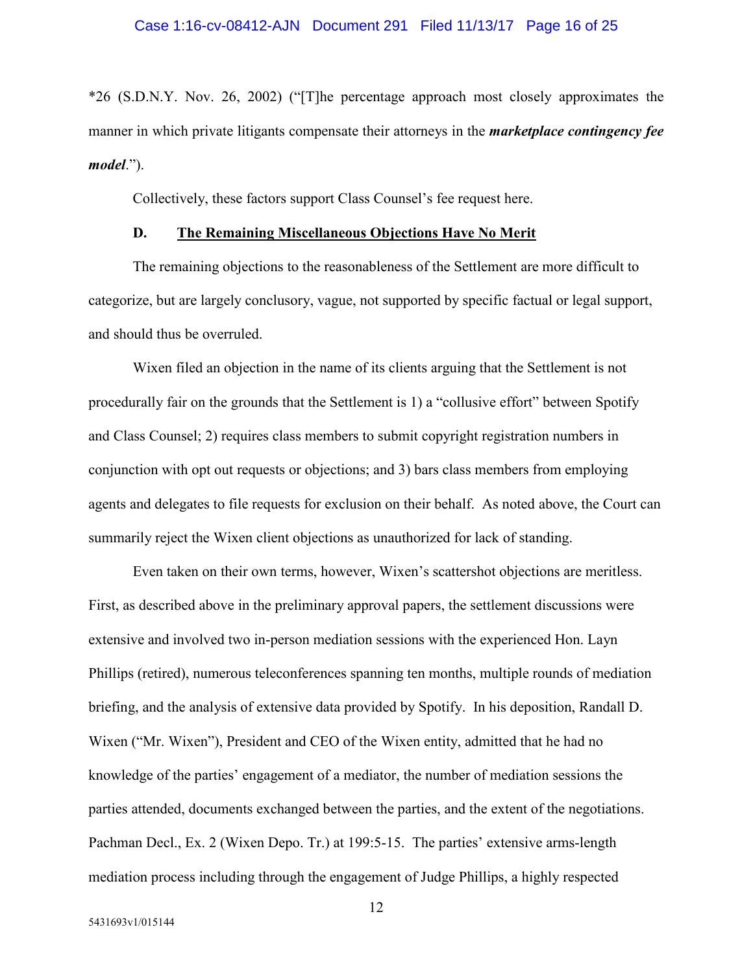\*26 (S.D.N.Y. Nov. 26, 2002) ("[T]he percentage approach most closely approximates the manner in which private litigants compensate their attorneys in the *marketplace contingency fee model*.").

Collectively, these factors support Class Counsel's fee request here.

## **D. The Remaining Miscellaneous Objections Have No Merit**

<span id="page-15-0"></span>The remaining objections to the reasonableness of the Settlement are more difficult to categorize, but are largely conclusory, vague, not supported by specific factual or legal support, and should thus be overruled.

Wixen filed an objection in the name of its clients arguing that the Settlement is not procedurally fair on the grounds that the Settlement is 1) a "collusive effort" between Spotify and Class Counsel; 2) requires class members to submit copyright registration numbers in conjunction with opt out requests or objections; and 3) bars class members from employing agents and delegates to file requests for exclusion on their behalf. As noted above, the Court can summarily reject the Wixen client objections as unauthorized for lack of standing.

Even taken on their own terms, however, Wixen's scattershot objections are meritless. First, as described above in the preliminary approval papers, the settlement discussions were extensive and involved two in-person mediation sessions with the experienced Hon. Layn Phillips (retired), numerous teleconferences spanning ten months, multiple rounds of mediation briefing, and the analysis of extensive data provided by Spotify. In his deposition, Randall D. Wixen ("Mr. Wixen"), President and CEO of the Wixen entity, admitted that he had no knowledge of the parties' engagement of a mediator, the number of mediation sessions the parties attended, documents exchanged between the parties, and the extent of the negotiations. Pachman Decl., Ex. 2 (Wixen Depo. Tr.) at 199:5-15. The parties' extensive arms-length mediation process including through the engagement of Judge Phillips, a highly respected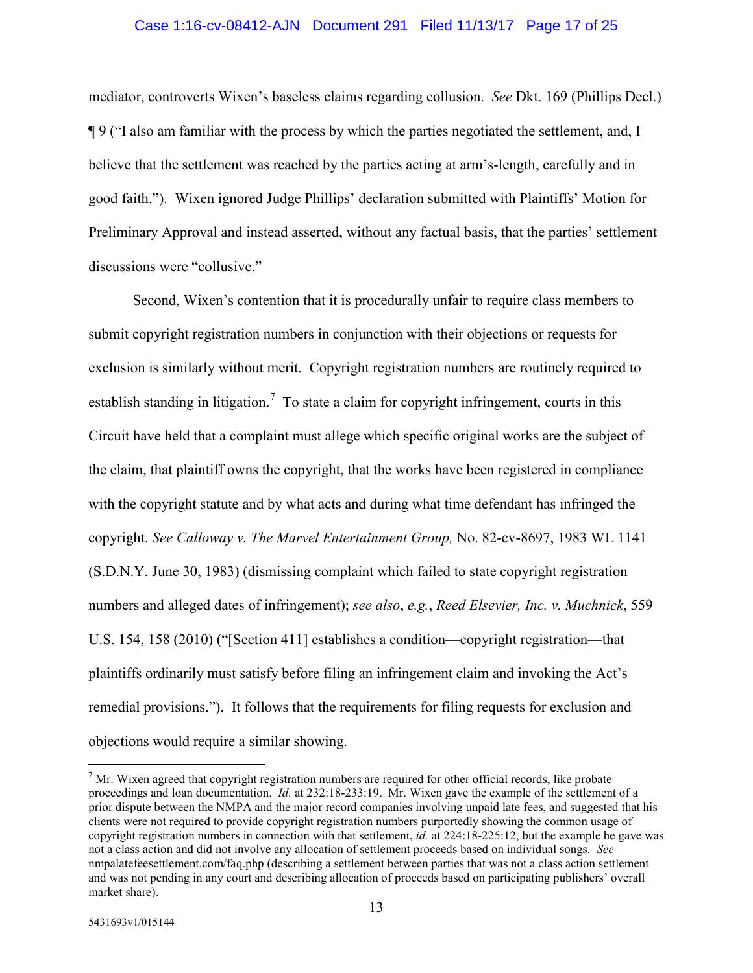## Case 1:16-cv-08412-AJN Document 291 Filed 11/13/17 Page 17 of 25

mediator, controverts Wixen's baseless claims regarding collusion. *See* Dkt. 169 (Phillips Decl.) ¶ 9 ("I also am familiar with the process by which the parties negotiated the settlement, and, I believe that the settlement was reached by the parties acting at arm's-length, carefully and in good faith."). Wixen ignored Judge Phillips' declaration submitted with Plaintiffs' Motion for Preliminary Approval and instead asserted, without any factual basis, that the parties' settlement discussions were "collusive."

Second, Wixen's contention that it is procedurally unfair to require class members to submit copyright registration numbers in conjunction with their objections or requests for exclusion is similarly without merit. Copyright registration numbers are routinely required to establish standing in litigation.<sup>[7](#page-16-0)</sup> To state a claim for copyright infringement, courts in this Circuit have held that a complaint must allege which specific original works are the subject of the claim, that plaintiff owns the copyright, that the works have been registered in compliance with the copyright statute and by what acts and during what time defendant has infringed the copyright. *See Calloway v. The Marvel Entertainment Group,* No. 82-cv-8697, 1983 WL 1141 (S.D.N.Y. June 30, 1983) (dismissing complaint which failed to state copyright registration numbers and alleged dates of infringement); *see also*, *e.g.*, *Reed Elsevier, Inc. v. Muchnick*, 559 U.S. 154, 158 (2010) ("[Section 411] establishes a condition—copyright registration—that plaintiffs ordinarily must satisfy before filing an infringement claim and invoking the Act's remedial provisions."). It follows that the requirements for filing requests for exclusion and objections would require a similar showing.

<span id="page-16-0"></span> $<sup>7</sup>$  Mr. Wixen agreed that copyright registration numbers are required for other official records, like probate</sup> proceedings and loan documentation. *Id.* at 232:18-233:19. Mr. Wixen gave the example of the settlement of a prior dispute between the NMPA and the major record companies involving unpaid late fees, and suggested that his clients were not required to provide copyright registration numbers purportedly showing the common usage of copyright registration numbers in connection with that settlement, *id.* at 224:18-225:12, but the example he gave was not a class action and did not involve any allocation of settlement proceeds based on individual songs. *See*  nmpalatefeesettlement.com/faq.php (describing a settlement between parties that was not a class action settlement and was not pending in any court and describing allocation of proceeds based on participating publishers' overall market share).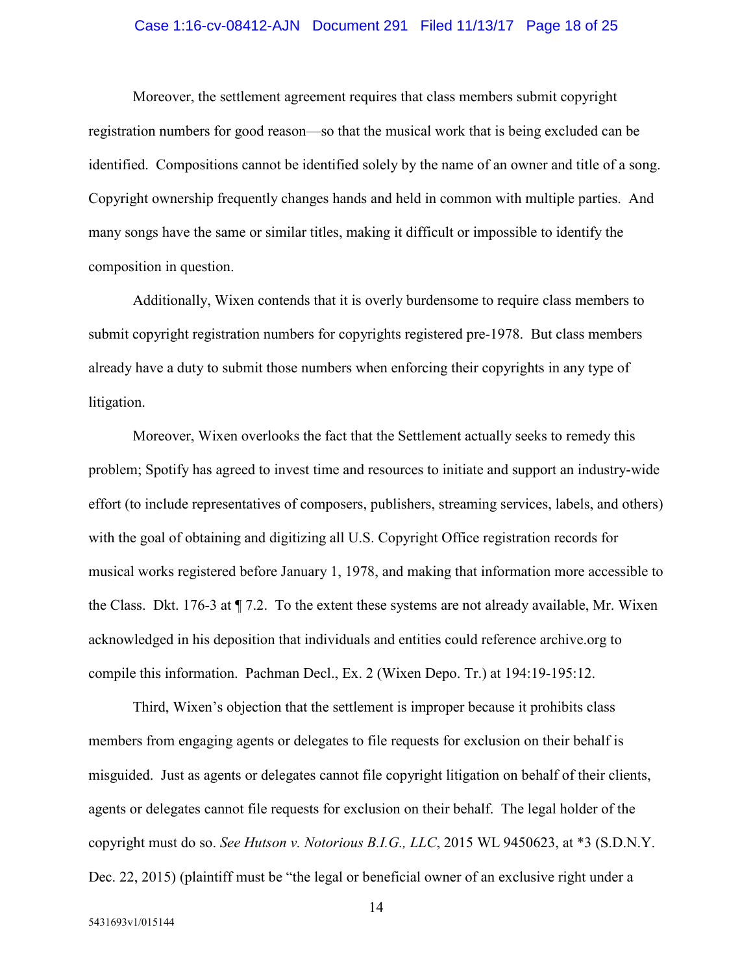## Case 1:16-cv-08412-AJN Document 291 Filed 11/13/17 Page 18 of 25

Moreover, the settlement agreement requires that class members submit copyright registration numbers for good reason—so that the musical work that is being excluded can be identified. Compositions cannot be identified solely by the name of an owner and title of a song. Copyright ownership frequently changes hands and held in common with multiple parties. And many songs have the same or similar titles, making it difficult or impossible to identify the composition in question.

Additionally, Wixen contends that it is overly burdensome to require class members to submit copyright registration numbers for copyrights registered pre-1978. But class members already have a duty to submit those numbers when enforcing their copyrights in any type of litigation.

Moreover, Wixen overlooks the fact that the Settlement actually seeks to remedy this problem; Spotify has agreed to invest time and resources to initiate and support an industry-wide effort (to include representatives of composers, publishers, streaming services, labels, and others) with the goal of obtaining and digitizing all U.S. Copyright Office registration records for musical works registered before January 1, 1978, and making that information more accessible to the Class. Dkt. 176-3 at ¶ 7.2. To the extent these systems are not already available, Mr. Wixen acknowledged in his deposition that individuals and entities could reference archive.org to compile this information. Pachman Decl., Ex. 2 (Wixen Depo. Tr.) at 194:19-195:12.

Third, Wixen's objection that the settlement is improper because it prohibits class members from engaging agents or delegates to file requests for exclusion on their behalf is misguided. Just as agents or delegates cannot file copyright litigation on behalf of their clients, agents or delegates cannot file requests for exclusion on their behalf. The legal holder of the copyright must do so. *See Hutson v. Notorious B.I.G., LLC*, 2015 WL 9450623, at \*3 (S.D.N.Y. Dec. 22, 2015) (plaintiff must be "the legal or beneficial owner of an exclusive right under a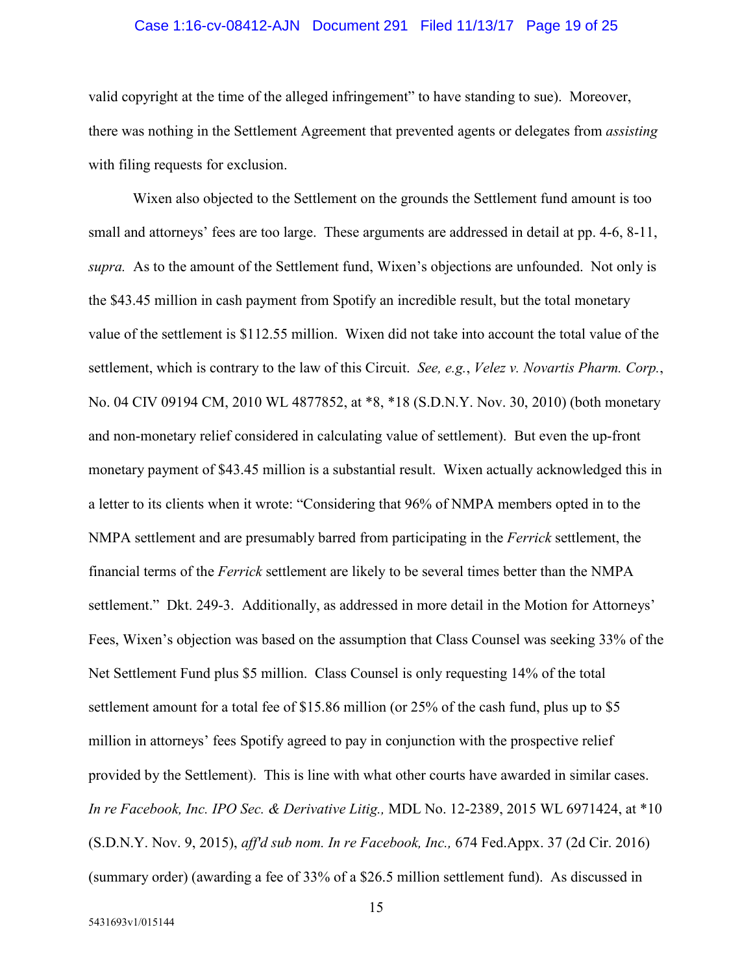## Case 1:16-cv-08412-AJN Document 291 Filed 11/13/17 Page 19 of 25

valid copyright at the time of the alleged infringement" to have standing to sue). Moreover, there was nothing in the Settlement Agreement that prevented agents or delegates from *assisting* with filing requests for exclusion.

Wixen also objected to the Settlement on the grounds the Settlement fund amount is too small and attorneys' fees are too large. These arguments are addressed in detail at pp. 4-6, 8-11, *supra.* As to the amount of the Settlement fund, Wixen's objections are unfounded. Not only is the \$43.45 million in cash payment from Spotify an incredible result, but the total monetary value of the settlement is \$112.55 million. Wixen did not take into account the total value of the settlement, which is contrary to the law of this Circuit. *See, e.g.*, *Velez v. Novartis Pharm. Corp.*, No. 04 CIV 09194 CM, 2010 WL 4877852, at \*8, \*18 (S.D.N.Y. Nov. 30, 2010) (both monetary and non-monetary relief considered in calculating value of settlement). But even the up-front monetary payment of \$43.45 million is a substantial result. Wixen actually acknowledged this in a letter to its clients when it wrote: "Considering that 96% of NMPA members opted in to the NMPA settlement and are presumably barred from participating in the *Ferrick* settlement, the financial terms of the *Ferrick* settlement are likely to be several times better than the NMPA settlement." Dkt. 249-3. Additionally, as addressed in more detail in the Motion for Attorneys' Fees, Wixen's objection was based on the assumption that Class Counsel was seeking 33% of the Net Settlement Fund plus \$5 million. Class Counsel is only requesting 14% of the total settlement amount for a total fee of \$15.86 million (or 25% of the cash fund, plus up to \$5 million in attorneys' fees Spotify agreed to pay in conjunction with the prospective relief provided by the Settlement). This is line with what other courts have awarded in similar cases. *In re Facebook, Inc. IPO Sec. & Derivative Litig.,* MDL No. 12-2389, 2015 WL 6971424, at \*10 (S.D.N.Y. Nov. 9, 2015), *aff'd sub nom. In re Facebook, Inc.,* 674 Fed.Appx. 37 (2d Cir. 2016) (summary order) (awarding a fee of 33% of a \$26.5 million settlement fund). As discussed in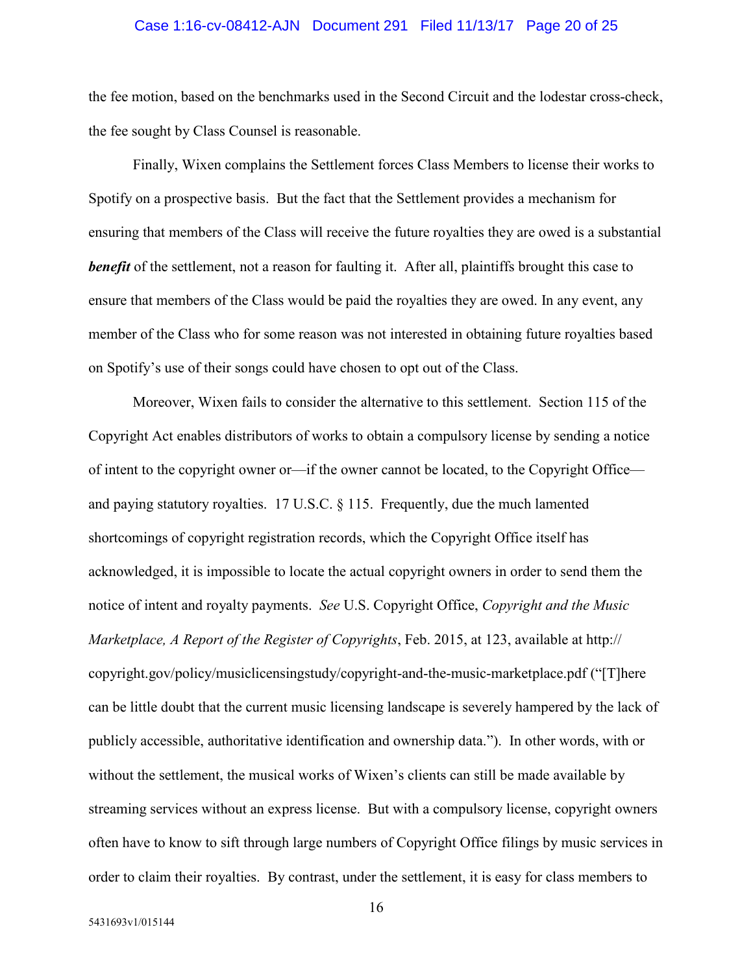### Case 1:16-cv-08412-AJN Document 291 Filed 11/13/17 Page 20 of 25

the fee motion, based on the benchmarks used in the Second Circuit and the lodestar cross-check, the fee sought by Class Counsel is reasonable.

Finally, Wixen complains the Settlement forces Class Members to license their works to Spotify on a prospective basis. But the fact that the Settlement provides a mechanism for ensuring that members of the Class will receive the future royalties they are owed is a substantial *benefit* of the settlement, not a reason for faulting it. After all, plaintiffs brought this case to ensure that members of the Class would be paid the royalties they are owed. In any event, any member of the Class who for some reason was not interested in obtaining future royalties based on Spotify's use of their songs could have chosen to opt out of the Class.

Moreover, Wixen fails to consider the alternative to this settlement. Section 115 of the Copyright Act enables distributors of works to obtain a compulsory license by sending a notice of intent to the copyright owner or—if the owner cannot be located, to the Copyright Office and paying statutory royalties. 17 U.S.C. § 115. Frequently, due the much lamented shortcomings of copyright registration records, which the Copyright Office itself has acknowledged, it is impossible to locate the actual copyright owners in order to send them the notice of intent and royalty payments. *See* U.S. Copyright Office, *Copyright and the Music Marketplace, A Report of the Register of Copyrights*, Feb. 2015, at 123, available at http:// copyright.gov/policy/musiclicensingstudy/copyright-and-the-music-marketplace.pdf ("[T]here can be little doubt that the current music licensing landscape is severely hampered by the lack of publicly accessible, authoritative identification and ownership data."). In other words, with or without the settlement, the musical works of Wixen's clients can still be made available by streaming services without an express license. But with a compulsory license, copyright owners often have to know to sift through large numbers of Copyright Office filings by music services in order to claim their royalties. By contrast, under the settlement, it is easy for class members to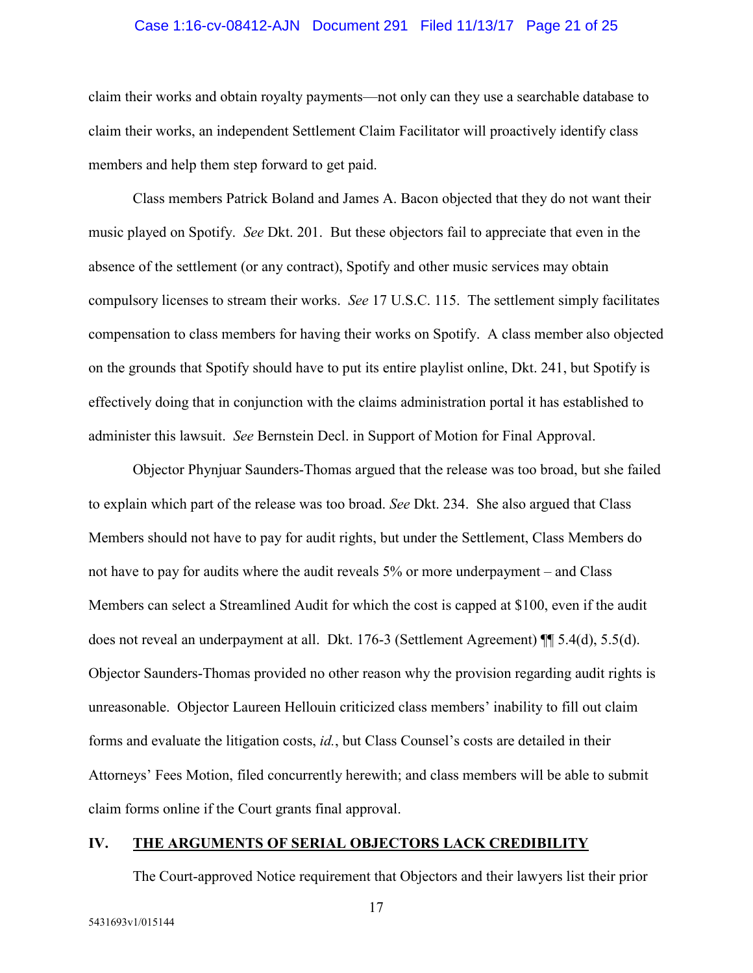## Case 1:16-cv-08412-AJN Document 291 Filed 11/13/17 Page 21 of 25

claim their works and obtain royalty payments—not only can they use a searchable database to claim their works, an independent Settlement Claim Facilitator will proactively identify class members and help them step forward to get paid.

Class members Patrick Boland and James A. Bacon objected that they do not want their music played on Spotify. *See* Dkt. 201. But these objectors fail to appreciate that even in the absence of the settlement (or any contract), Spotify and other music services may obtain compulsory licenses to stream their works. *See* 17 U.S.C. 115. The settlement simply facilitates compensation to class members for having their works on Spotify. A class member also objected on the grounds that Spotify should have to put its entire playlist online, Dkt. 241, but Spotify is effectively doing that in conjunction with the claims administration portal it has established to administer this lawsuit. *See* Bernstein Decl. in Support of Motion for Final Approval.

Objector Phynjuar Saunders-Thomas argued that the release was too broad, but she failed to explain which part of the release was too broad. *See* Dkt. 234. She also argued that Class Members should not have to pay for audit rights, but under the Settlement, Class Members do not have to pay for audits where the audit reveals 5% or more underpayment – and Class Members can select a Streamlined Audit for which the cost is capped at \$100, even if the audit does not reveal an underpayment at all. Dkt. 176-3 (Settlement Agreement) ¶¶ 5.4(d), 5.5(d). Objector Saunders-Thomas provided no other reason why the provision regarding audit rights is unreasonable. Objector Laureen Hellouin criticized class members' inability to fill out claim forms and evaluate the litigation costs, *id.*, but Class Counsel's costs are detailed in their Attorneys' Fees Motion, filed concurrently herewith; and class members will be able to submit claim forms online if the Court grants final approval.

## <span id="page-20-0"></span>**IV. THE ARGUMENTS OF SERIAL OBJECTORS LACK CREDIBILITY**

The Court-approved Notice requirement that Objectors and their lawyers list their prior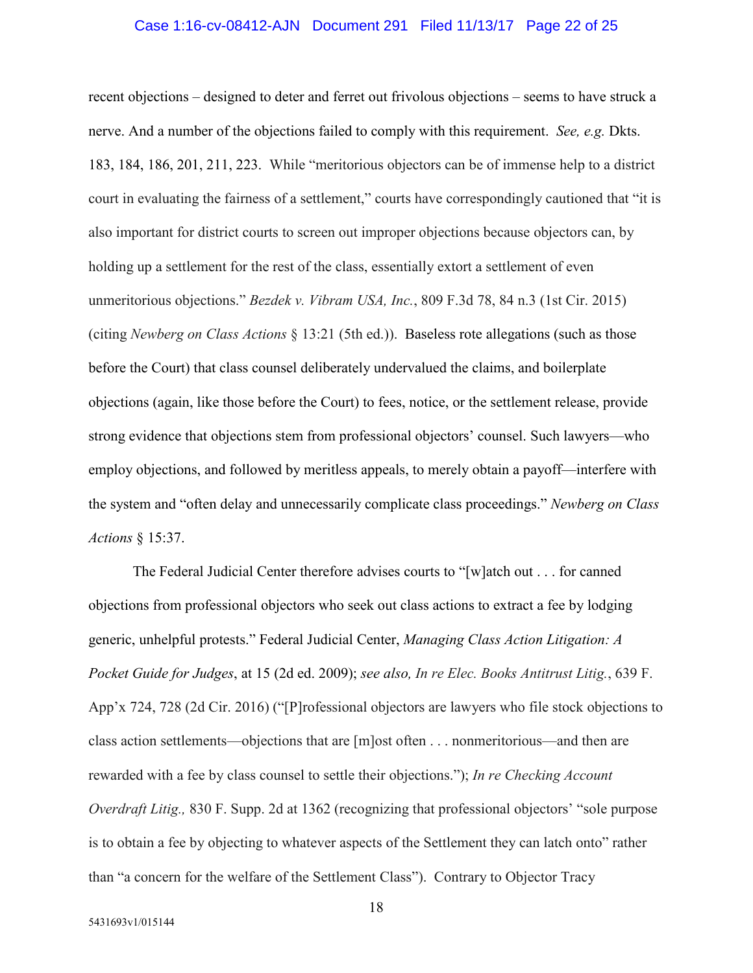#### Case 1:16-cv-08412-AJN Document 291 Filed 11/13/17 Page 22 of 25

recent objections – designed to deter and ferret out frivolous objections – seems to have struck a nerve. And a number of the objections failed to comply with this requirement. *See, e.g.* Dkts. 183, 184, 186, 201, 211, 223. While "meritorious objectors can be of immense help to a district court in evaluating the fairness of a settlement," courts have correspondingly cautioned that "it is also important for district courts to screen out improper objections because objectors can, by holding up a settlement for the rest of the class, essentially extort a settlement of even unmeritorious objections." *Bezdek v. Vibram USA, Inc.*, 809 F.3d 78, 84 n.3 (1st Cir. 2015) (citing *Newberg on Class Actions* § 13:21 (5th ed.)). Baseless rote allegations (such as those before the Court) that class counsel deliberately undervalued the claims, and boilerplate objections (again, like those before the Court) to fees, notice, or the settlement release, provide strong evidence that objections stem from professional objectors' counsel. Such lawyers—who employ objections, and followed by meritless appeals, to merely obtain a payoff—interfere with the system and "often delay and unnecessarily complicate class proceedings." *Newberg on Class Actions* § 15:37.

The Federal Judicial Center therefore advises courts to "[w]atch out . . . for canned objections from professional objectors who seek out class actions to extract a fee by lodging generic, unhelpful protests." Federal Judicial Center, *Managing Class Action Litigation: A Pocket Guide for Judges*, at 15 (2d ed. 2009); *see also, In re Elec. Books Antitrust Litig.*, 639 F. App'x 724, 728 (2d Cir. 2016) ("[P]rofessional objectors are lawyers who file stock objections to class action settlements—objections that are [m]ost often . . . nonmeritorious—and then are rewarded with a fee by class counsel to settle their objections."); *In re Checking Account Overdraft Litig.,* 830 F. Supp. 2d at 1362 (recognizing that professional objectors' "sole purpose is to obtain a fee by objecting to whatever aspects of the Settlement they can latch onto" rather than "a concern for the welfare of the Settlement Class"). Contrary to Objector Tracy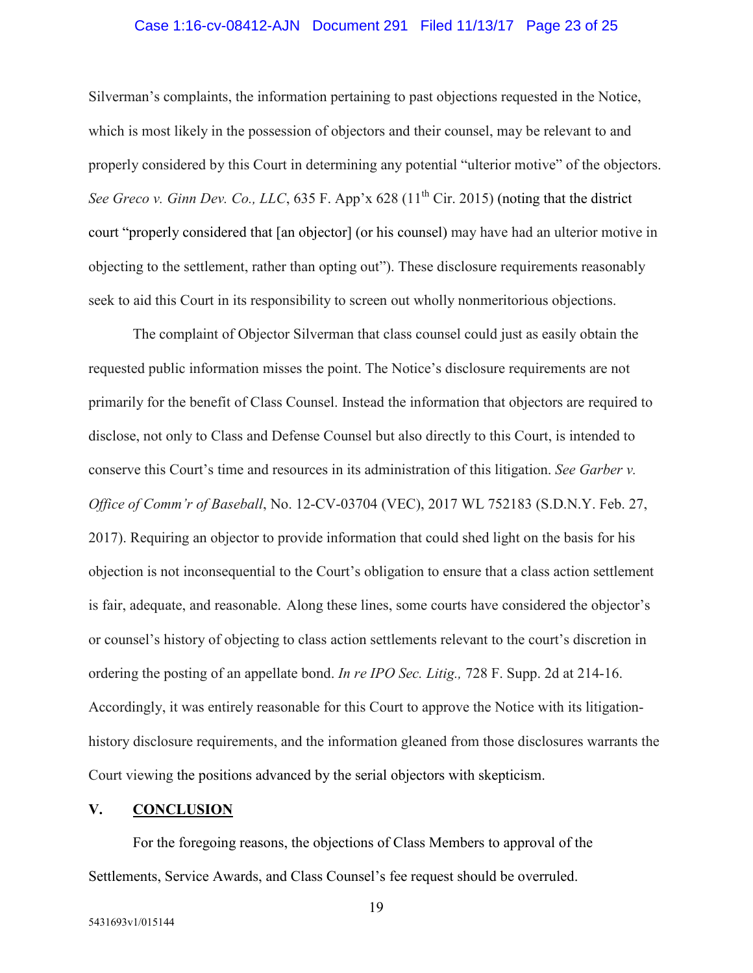## Case 1:16-cv-08412-AJN Document 291 Filed 11/13/17 Page 23 of 25

Silverman's complaints, the information pertaining to past objections requested in the Notice, which is most likely in the possession of objectors and their counsel, may be relevant to and properly considered by this Court in determining any potential "ulterior motive" of the objectors. *See Greco v. Ginn Dev. Co., LLC*, 635 F. App'x 628 ( $11<sup>th</sup>$  Cir. 2015) (noting that the district court "properly considered that [an objector] (or his counsel) may have had an ulterior motive in objecting to the settlement, rather than opting out"). These disclosure requirements reasonably seek to aid this Court in its responsibility to screen out wholly nonmeritorious objections.

The complaint of Objector Silverman that class counsel could just as easily obtain the requested public information misses the point. The Notice's disclosure requirements are not primarily for the benefit of Class Counsel. Instead the information that objectors are required to disclose, not only to Class and Defense Counsel but also directly to this Court, is intended to conserve this Court's time and resources in its administration of this litigation. *See Garber v. Office of Comm'r of Baseball*, No. 12-CV-03704 (VEC), 2017 WL 752183 (S.D.N.Y. Feb. 27, 2017). Requiring an objector to provide information that could shed light on the basis for his objection is not inconsequential to the Court's obligation to ensure that a class action settlement is fair, adequate, and reasonable. Along these lines, some courts have considered the objector's or counsel's history of objecting to class action settlements relevant to the court's discretion in ordering the posting of an appellate bond. *In re IPO Sec. Litig.,* 728 F. Supp. 2d at 214-16. Accordingly, it was entirely reasonable for this Court to approve the Notice with its litigationhistory disclosure requirements, and the information gleaned from those disclosures warrants the Court viewing the positions advanced by the serial objectors with skepticism.

## <span id="page-22-0"></span>**V. CONCLUSION**

For the foregoing reasons, the objections of Class Members to approval of the Settlements, Service Awards, and Class Counsel's fee request should be overruled.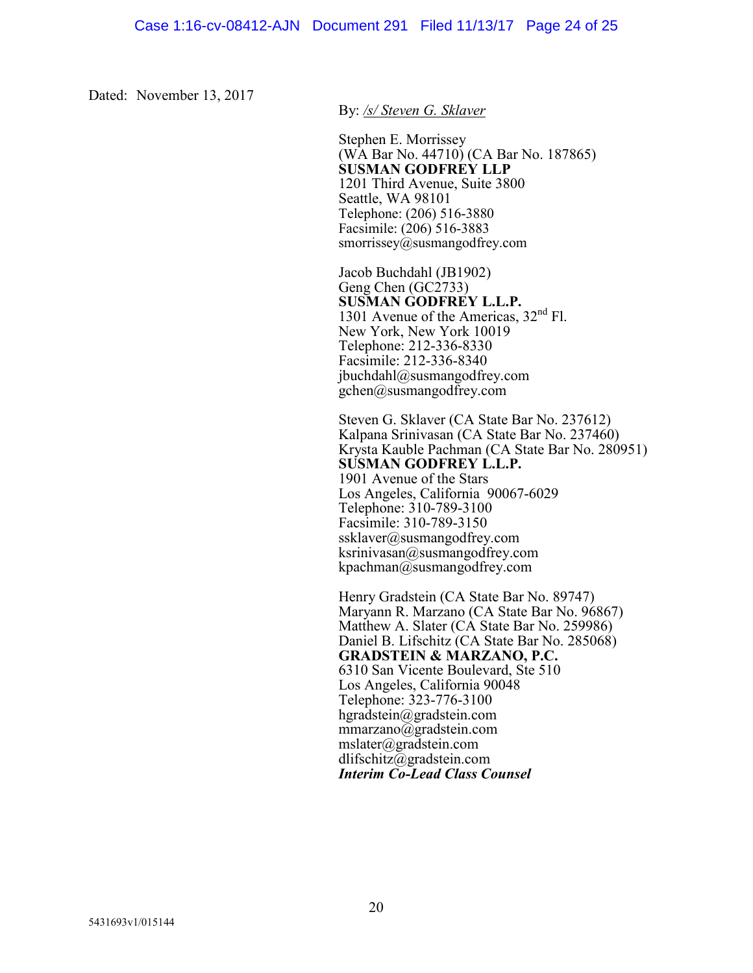Dated: November 13, 2017

By: */s/ Steven G. Sklaver*

Stephen E. Morrissey (WA Bar No. 44710) (CA Bar No. 187865) **SUSMAN GODFREY LLP** 1201 Third Avenue, Suite 3800 Seattle, WA 98101 Telephone: (206) 516-3880 Facsimile: (206) 516-3883 smorrissey@susmangodfrey.com

Jacob Buchdahl (JB1902) Geng Chen (GC2733) **SUSMAN GODFREY L.L.P.** 1301 Avenue of the Americas,  $32<sup>nd</sup>$  Fl. New York, New York 10019 Telephone: 212-336-8330 Facsimile: 212-336-8340 jbuchdahl@susmangodfrey.com gchen@susmangodfrey.com

Steven G. Sklaver (CA State Bar No. 237612) Kalpana Srinivasan (CA State Bar No. 237460) Krysta Kauble Pachman (CA State Bar No. 280951) **SUSMAN GODFREY L.L.P.** 1901 Avenue of the Stars Los Angeles, California 90067-6029 Telephone: 310-789-3100 Facsimile: 310-789-3150 ssklaver@susmangodfrey.com ksrinivasan@susmangodfrey.com kpachman@susmangodfrey.com

Henry Gradstein (CA State Bar No. 89747) Maryann R. Marzano (CA State Bar No. 96867) Matthew A. Slater (CA State Bar No. 259986) Daniel B. Lifschitz (CA State Bar No. 285068) **GRADSTEIN & MARZANO, P.C.** 6310 San Vicente Boulevard, Ste 510 Los Angeles, California 90048 Telephone: 323-776-3100 hgradstein@gradstein.com mmarzano@gradstein.com mslater@gradstein.com dlifschitz@gradstein.com *Interim Co-Lead Class Counsel*